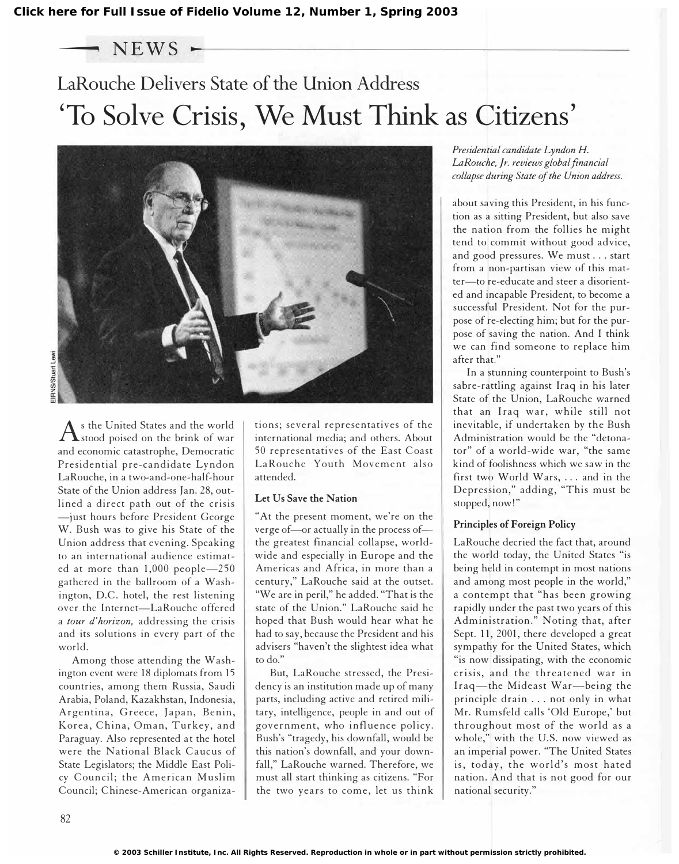$-$  NEWS  $-$ 

## LaRouche Delivers State of the Union Address 'To Solve Crisis, We Must Think as Citizens'



 $\rm A$ s the United States and the world<br>Astood poised on the brink of war stood poised on the brink of war and economic catastrophe, Democratic Presidential pre-candidate Lyndon LaRouche, in a two-and-one-half-hour State of the Union address Jan. 28, outlined a direct path out of the crisis -just hours before President George W. Bush was to give his State of the Union address that evening. Speaking to an international audience estimated at more than 1,000 people-250 gathered in the ballroom of a Washington, D.C. hotel, the rest listening over the Internet-LaRouche offered a tour d'horizon, addressing the crisis and its solutions in every part of the world.

Among those attending the Washington event were 18 diplomats from 15 countries, among them Russia, Saudi Arabia, Poland, Kazakhstan, Indonesia, Argentina, Greece, Japan, Benin, Korea, China, Oman, Turkey, and Paraguay. Also represented at the hotel were the National Black Caucus of State Legislators; the Middle East Policy Council; the American Muslim Council; Chinese-American organizations; several representatives of the international media; and others. About 50 representatives of the East Coast LaRouche Youth Movement also attended.

### Let Us Save the Nation

"At the present moment, we're on the verge of-or actually in the process ofthe greatest financial collapse, worldwide and especially in Europe and the Americas and Africa, in more than a century," LaRouche said at the outset. "We are in peril," he added. "That is the state of the Union." LaRouche said he hoped that Bush would hear what he had to say, because the President and his advisers "haven't the slightest idea what to do."

But, LaRouche stressed, the Presidency is an institution made up of many parts, including active and retired military, intelligence, people in and out of government, who influence policy. Bush's "tragedy, his downfall, would be this nation's downfall, and your downfall," LaRouche warned. Therefore, we must all start thinking as citizens. "For the two years to come, let us think

Presidential candidate Lyndon H. LaRouche, Jr. reviews global financial collapse during State of the Union address.

about saving this President, in his function as a sitting President, but also save the nation from the follies he might tend to commit without good advice, and good pressures. We must ... start from a non-partisan view of this matter-to re-educate and steer a disoriented and incapable President, to become a successful President. Not for the purpose of re-electing him; but for the purpose of saving the nation. And I think we can find someone to replace him after that."

In a stunning counterpoint to Bush's sabre-rattling against Iraq in his later State of the Union, LaRouche warned that an Iraq war, while still not inevitable, if undertaken by the Bush Administration would be the "detonator" of a world-wide war, "the same kind of foolishness which we saw in the first two World Wars, ... and in the Depression," adding, "This must be stopped, now!"

### Principles of Foreign Policy

LaRouche decried the fact that, around the world today, the United States "is being held in contempt in most nations and among most people in the world," a contempt that "has been growing rapidly under the past two years of this Administration." Noting that, after Sept. 11, 2001, there developed a great sympathy for the United States, which "is now dissipating, with the economic crisis, and the threatened war in Iraq-the Mideast War-being the principle drain ... not only in what Mr. Rumsfeld calls 'Old Europe,' but throughout most of the world as a whole," with the U.S. now viewed as an imperial power. "The United States is, today, the world's most hated nation. And that is not good for our national security."